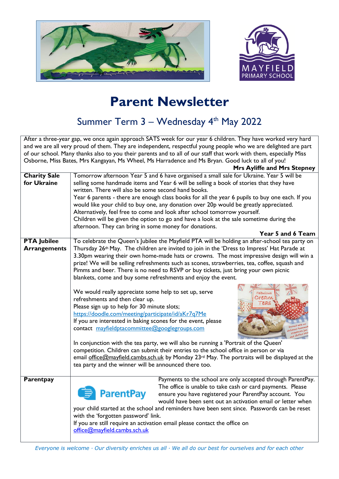



## **Parent Newsletter**

## Summer Term 3 – Wednesday 4<sup>th</sup> May 2022

After a three-year gap, we once again approach SATS week for our year 6 children. They have worked very hard and we are all very proud of them. They are independent, respectful young people who we are delighted are part of our school. Many thanks also to you their parents and to all of our staff that work with them, especially Miss Osborne, Miss Bates, Mrs Kangayan, Ms Wheel, Ms Harradence and Ms Bryan. Good luck to all of you!

|                     | <b>Mrs Ayliffe and Mrs Stepney</b>                                                                      |  |  |
|---------------------|---------------------------------------------------------------------------------------------------------|--|--|
| <b>Charity Sale</b> | Tomorrow afternoon Year 5 and 6 have organised a small sale for Ukraine. Year 5 will be                 |  |  |
| for Ukraine         | selling some handmade items and Year 6 will be selling a book of stories that they have                 |  |  |
|                     | written. There will also be some second hand books.                                                     |  |  |
|                     | Year 6 parents - there are enough class books for all the year 6 pupils to buy one each. If you         |  |  |
|                     | would like your child to buy one, any donation over 20p would be greatly appreciated.                   |  |  |
|                     | Alternatively, feel free to come and look after school tomorrow yourself.                               |  |  |
|                     | Children will be given the option to go and have a look at the sale sometime during the                 |  |  |
|                     | afternoon. They can bring in some money for donations.                                                  |  |  |
|                     | Year 5 and 6 Team                                                                                       |  |  |
| <b>PTA Jubilee</b>  | To celebrate the Queen's Jubilee the Mayfield PTA will be holding an after-school tea party on          |  |  |
| <b>Arrangements</b> | Thursday 26 <sup>th</sup> May. The children are invited to join in the 'Dress to Impress' Hat Parade at |  |  |
|                     | 3.30pm wearing their own home-made hats or crowns. The most impressive design will win a                |  |  |
|                     | prize! We will be selling refreshments such as scones, strawberries, tea, coffee, squash and            |  |  |
|                     | Pimms and beer. There is no need to RSVP or buy tickets, just bring your own picnic                     |  |  |
|                     | blankets, come and buy some refreshments and enjoy the event.                                           |  |  |
|                     |                                                                                                         |  |  |
|                     | We would really appreciate some help to set up, serve<br>abulous                                        |  |  |
|                     | Cream<br>refreshments and then clear up.                                                                |  |  |
|                     | Please sign up to help for 30 minute slots;                                                             |  |  |
|                     | https://doodle.com/meeting/participate/id/aKr7q7Me                                                      |  |  |
|                     | If you are interested in baking scones for the event, please                                            |  |  |
|                     | contact mayfieldptacommittee@googlegroups.com                                                           |  |  |
|                     |                                                                                                         |  |  |
|                     | In conjunction with the tea party, we will also be running a 'Portrait of the Queen'                    |  |  |
|                     | competition. Children can submit their entries to the school office in person or via                    |  |  |
|                     | email office@mayfield.cambs.sch.uk by Monday 23rd May. The portraits will be displayed at the           |  |  |
|                     | tea party and the winner will be announced there too.                                                   |  |  |
|                     |                                                                                                         |  |  |
| Parentpay           | Payments to the school are only accepted through ParentPay.                                             |  |  |
|                     | The office is unable to take cash or card payments. Please                                              |  |  |
|                     | <b>ParentPay</b><br>ensure you have registered your ParentPay account. You                              |  |  |
|                     | would have been sent out an activation email or letter when                                             |  |  |
|                     | your child started at the school and reminders have been sent since. Passwords can be reset             |  |  |
|                     | with the 'forgotten password' link.                                                                     |  |  |
|                     | If you are still require an activation email please contact the office on                               |  |  |
|                     | office@mayfield.cambs.sch.uk                                                                            |  |  |